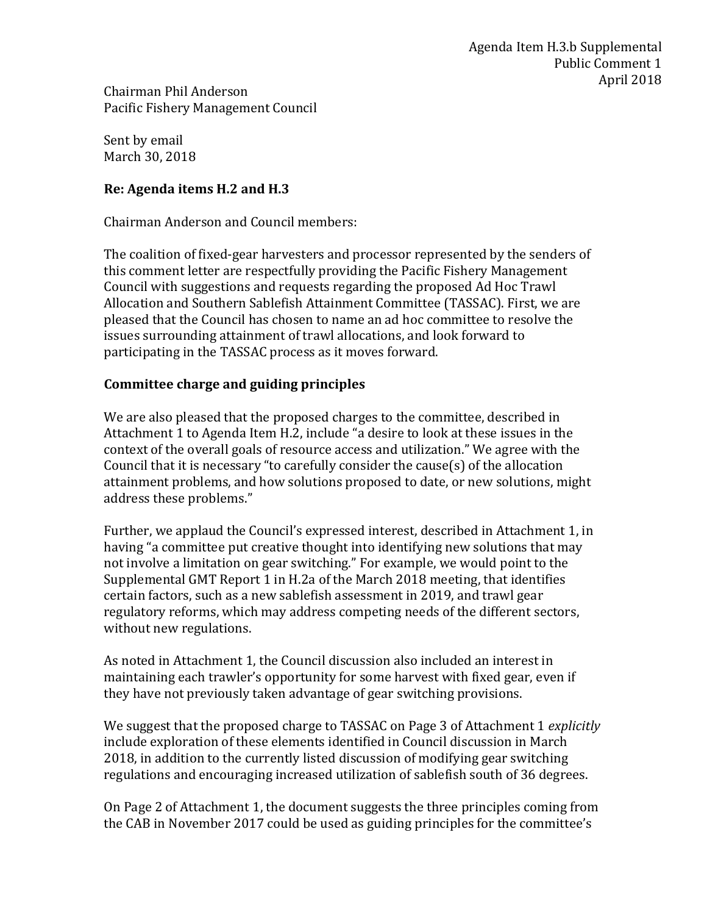Chairman Phil Anderson Pacific Fishery Management Council

Sent by email March 30, 2018

## **Re: Agenda items H.2 and H.3**

Chairman Anderson and Council members:

The coalition of fixed-gear harvesters and processor represented by the senders of this comment letter are respectfully providing the Pacific Fishery Management Council with suggestions and requests regarding the proposed Ad Hoc Trawl Allocation and Southern Sablefish Attainment Committee (TASSAC). First, we are pleased that the Council has chosen to name an ad hoc committee to resolve the issues surrounding attainment of trawl allocations, and look forward to participating in the TASSAC process as it moves forward.

## **Committee charge and guiding principles**

We are also pleased that the proposed charges to the committee, described in Attachment 1 to Agenda Item H.2, include "a desire to look at these issues in the context of the overall goals of resource access and utilization." We agree with the Council that it is necessary "to carefully consider the cause(s) of the allocation attainment problems, and how solutions proposed to date, or new solutions, might address these problems."

Further, we applaud the Council's expressed interest, described in Attachment 1, in having "a committee put creative thought into identifying new solutions that may not involve a limitation on gear switching." For example, we would point to the Supplemental GMT Report 1 in H.2a of the March 2018 meeting, that identifies certain factors, such as a new sablefish assessment in 2019, and trawl gear regulatory reforms, which may address competing needs of the different sectors, without new regulations.

As noted in Attachment 1, the Council discussion also included an interest in maintaining each trawler's opportunity for some harvest with fixed gear, even if they have not previously taken advantage of gear switching provisions.

We suggest that the proposed charge to TASSAC on Page 3 of Attachment 1 *explicitly*  include exploration of these elements identified in Council discussion in March 2018, in addition to the currently listed discussion of modifying gear switching regulations and encouraging increased utilization of sablefish south of 36 degrees.

On Page 2 of Attachment 1, the document suggests the three principles coming from the CAB in November 2017 could be used as guiding principles for the committee's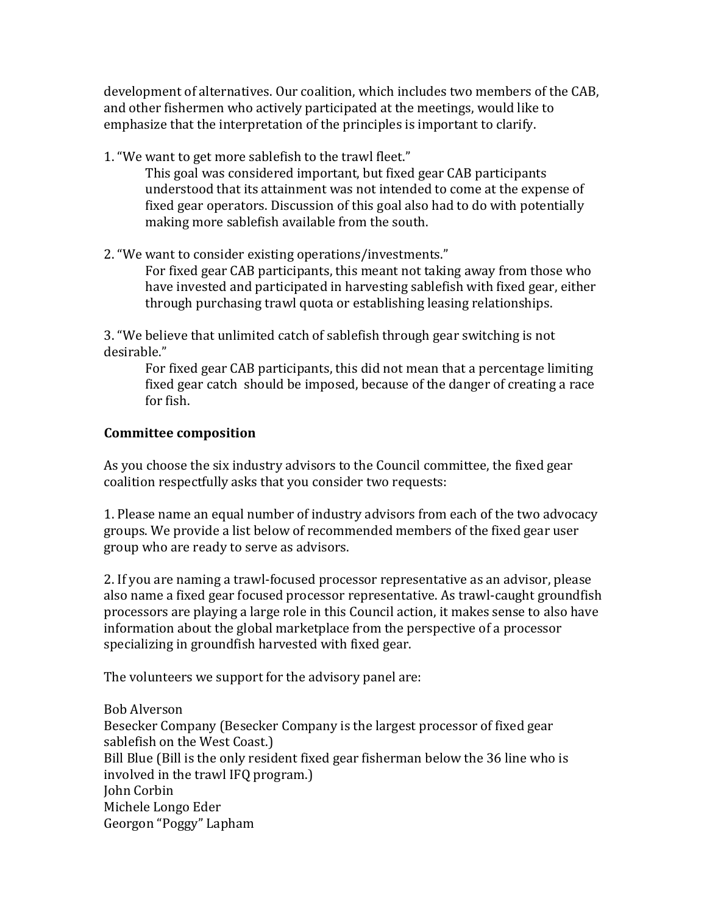development of alternatives. Our coalition, which includes two members of the CAB, and other fishermen who actively participated at the meetings, would like to emphasize that the interpretation of the principles is important to clarify.

1. "We want to get more sablefish to the trawl fleet."

This goal was considered important, but fixed gear CAB participants understood that its attainment was not intended to come at the expense of fixed gear operators. Discussion of this goal also had to do with potentially making more sablefish available from the south.

2. "We want to consider existing operations/investments." For fixed gear CAB participants, this meant not taking away from those who have invested and participated in harvesting sablefish with fixed gear, either

through purchasing trawl quota or establishing leasing relationships.

3. "We believe that unlimited catch of sablefish through gear switching is not desirable."

For fixed gear CAB participants, this did not mean that a percentage limiting fixed gear catch should be imposed, because of the danger of creating a race for fish.

## **Committee composition**

As you choose the six industry advisors to the Council committee, the fixed gear coalition respectfully asks that you consider two requests:

1. Please name an equal number of industry advisors from each of the two advocacy groups. We provide a list below of recommended members of the fixed gear user group who are ready to serve as advisors.

2. If you are naming a trawl-focused processor representative as an advisor, please also name a fixed gear focused processor representative. As trawl-caught groundfish processors are playing a large role in this Council action, it makes sense to also have information about the global marketplace from the perspective of a processor specializing in groundfish harvested with fixed gear.

The volunteers we support for the advisory panel are:

Bob Alverson Besecker Company (Besecker Company is the largest processor of fixed gear sablefish on the West Coast.) Bill Blue (Bill is the only resident fixed gear fisherman below the 36 line who is involved in the trawl IFQ program.) John Corbin Michele Longo Eder Georgon "Poggy" Lapham